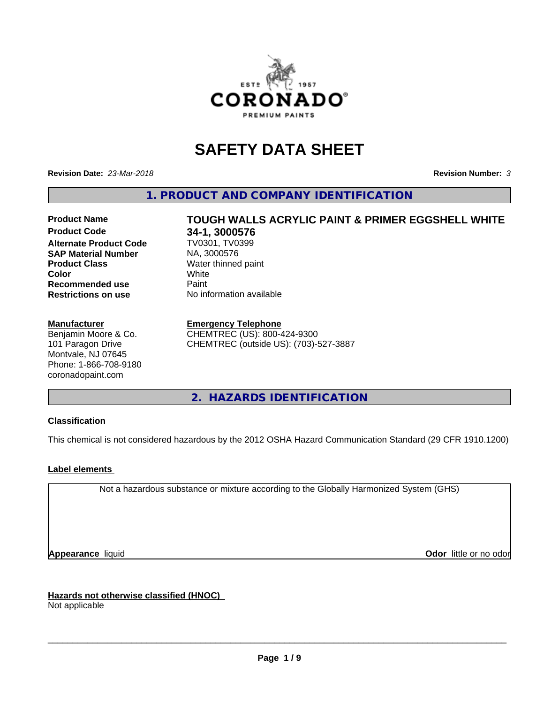

# **SAFETY DATA SHEET**

**Revision Date:** *23-Mar-2018* **Revision Number:** *3*

**1. PRODUCT AND COMPANY IDENTIFICATION**

# **Alternate Product Code TV0301, TV0301, TV0301 SAP Material Number Product Class**<br> **Color**<br> **Color**<br> **Color Recommended use** Paint<br> **Restrictions on use No information available Restrictions on use**

# **Manufacturer**

Benjamin Moore & Co. 101 Paragon Drive Montvale, NJ 07645 Phone: 1-866-708-9180 coronadopaint.com

Product Name **TOUGH WALLS ACRYLIC PAINT & PRIMER EGGSHELL WHITE**<br>Product Code 34-1 3000576 **34-1, 3000576**<br>TV0301, TV0399 **Color** White

**Emergency Telephone**

CHEMTREC (US): 800-424-9300 CHEMTREC (outside US): (703)-527-3887

**2. HAZARDS IDENTIFICATION**

# **Classification**

This chemical is not considered hazardous by the 2012 OSHA Hazard Communication Standard (29 CFR 1910.1200)

# **Label elements**

Not a hazardous substance or mixture according to the Globally Harmonized System (GHS)

**Appearance** liquid **Odor in the original of the original of the original of the original of the original of the original of the original of the original of the original of the original of the original of the original of t** 

**Hazards not otherwise classified (HNOC)** Not applicable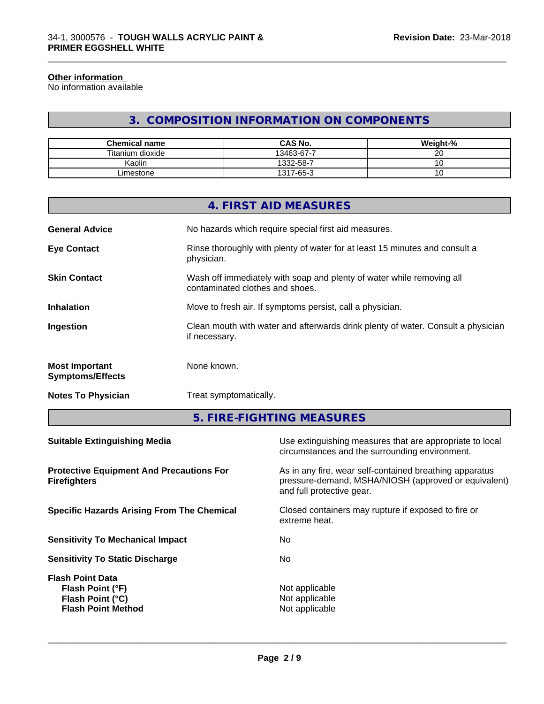#### **Other information**

No information available

# **3. COMPOSITION INFORMATION ON COMPONENTS**

\_\_\_\_\_\_\_\_\_\_\_\_\_\_\_\_\_\_\_\_\_\_\_\_\_\_\_\_\_\_\_\_\_\_\_\_\_\_\_\_\_\_\_\_\_\_\_\_\_\_\_\_\_\_\_\_\_\_\_\_\_\_\_\_\_\_\_\_\_\_\_\_\_\_\_\_\_\_\_\_\_\_\_\_\_\_\_\_\_\_\_\_\_

| <b>Chemical name</b> | <b>CAS No.</b> | Weight-%        |
|----------------------|----------------|-----------------|
| Titanium dioxide     | 13463-67-7     | ~~<br>້         |
| Kaolin               | 1332-58-7      | ັ               |
| ∟imestone            | 1317-65-3      | $\cdot$ $\circ$ |

|                                                  | 4. FIRST AID MEASURES                                                                                    |
|--------------------------------------------------|----------------------------------------------------------------------------------------------------------|
| <b>General Advice</b>                            | No hazards which require special first aid measures.                                                     |
| <b>Eye Contact</b>                               | Rinse thoroughly with plenty of water for at least 15 minutes and consult a<br>physician.                |
| <b>Skin Contact</b>                              | Wash off immediately with soap and plenty of water while removing all<br>contaminated clothes and shoes. |
| <b>Inhalation</b>                                | Move to fresh air. If symptoms persist, call a physician.                                                |
| Ingestion                                        | Clean mouth with water and afterwards drink plenty of water. Consult a physician<br>if necessary.        |
| <b>Most Important</b><br><b>Symptoms/Effects</b> | None known.                                                                                              |
| <b>Notes To Physician</b>                        | Treat symptomatically.                                                                                   |
|                                                  |                                                                                                          |

**5. FIRE-FIGHTING MEASURES**

| As in any fire, wear self-contained breathing apparatus<br><b>Protective Equipment And Precautions For</b><br>pressure-demand, MSHA/NIOSH (approved or equivalent)<br><b>Firefighters</b><br>and full protective gear.<br><b>Specific Hazards Arising From The Chemical</b><br>Closed containers may rupture if exposed to fire or<br>extreme heat.<br>No<br><b>Sensitivity To Mechanical Impact</b><br>No.<br><b>Sensitivity To Static Discharge</b><br><b>Flash Point Data</b><br>Not applicable<br>Flash Point (°F)<br>Not applicable<br>Flash Point (°C)<br>Not applicable<br><b>Flash Point Method</b> | <b>Suitable Extinguishing Media</b> | Use extinguishing measures that are appropriate to local<br>circumstances and the surrounding environment. |
|-------------------------------------------------------------------------------------------------------------------------------------------------------------------------------------------------------------------------------------------------------------------------------------------------------------------------------------------------------------------------------------------------------------------------------------------------------------------------------------------------------------------------------------------------------------------------------------------------------------|-------------------------------------|------------------------------------------------------------------------------------------------------------|
|                                                                                                                                                                                                                                                                                                                                                                                                                                                                                                                                                                                                             |                                     |                                                                                                            |
|                                                                                                                                                                                                                                                                                                                                                                                                                                                                                                                                                                                                             |                                     |                                                                                                            |
|                                                                                                                                                                                                                                                                                                                                                                                                                                                                                                                                                                                                             |                                     |                                                                                                            |
|                                                                                                                                                                                                                                                                                                                                                                                                                                                                                                                                                                                                             |                                     |                                                                                                            |
|                                                                                                                                                                                                                                                                                                                                                                                                                                                                                                                                                                                                             |                                     |                                                                                                            |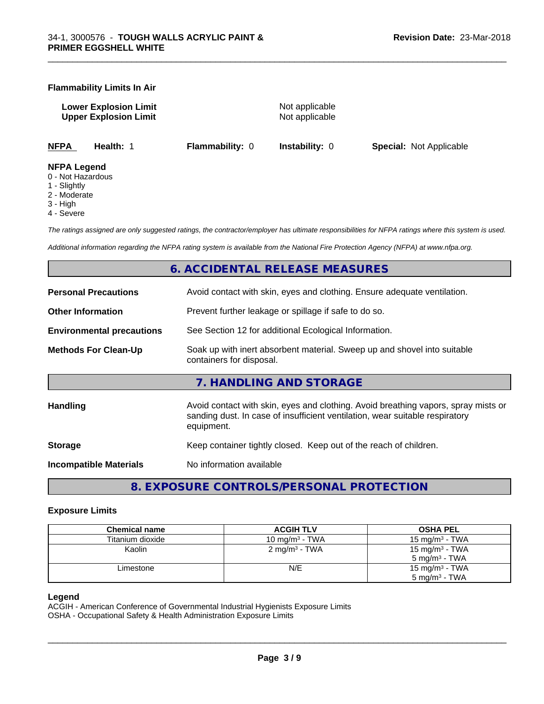# **Flammability Limits In Air**

**Lower Explosion Limit Contract Accord Accord Accord Accord Accord Accord Accord Accord Accord Accord Accord Accord Accord Accord Accord Accord Accord Accord Accord Accord Accord Accord Accord Accord Accord Accord Accord Upper Explosion Limit** Not applicable

\_\_\_\_\_\_\_\_\_\_\_\_\_\_\_\_\_\_\_\_\_\_\_\_\_\_\_\_\_\_\_\_\_\_\_\_\_\_\_\_\_\_\_\_\_\_\_\_\_\_\_\_\_\_\_\_\_\_\_\_\_\_\_\_\_\_\_\_\_\_\_\_\_\_\_\_\_\_\_\_\_\_\_\_\_\_\_\_\_\_\_\_\_

**NFPA Health:** 1 **Flammability:** 0 **Instability:** 0 **Special:** Not Applicable

#### **NFPA Legend**

- 0 Not Hazardous
- 1 Slightly
- 2 Moderate
- 3 High
- 4 Severe

*The ratings assigned are only suggested ratings, the contractor/employer has ultimate responsibilities for NFPA ratings where this system is used.*

*Additional information regarding the NFPA rating system is available from the National Fire Protection Agency (NFPA) at www.nfpa.org.*

# **6. ACCIDENTAL RELEASE MEASURES**

| <b>Personal Precautions</b>      | Avoid contact with skin, eyes and clothing. Ensure adequate ventilation.                                                                                                         |
|----------------------------------|----------------------------------------------------------------------------------------------------------------------------------------------------------------------------------|
| <b>Other Information</b>         | Prevent further leakage or spillage if safe to do so.                                                                                                                            |
| <b>Environmental precautions</b> | See Section 12 for additional Ecological Information.                                                                                                                            |
| <b>Methods For Clean-Up</b>      | Soak up with inert absorbent material. Sweep up and shovel into suitable<br>containers for disposal.                                                                             |
|                                  | 7. HANDLING AND STORAGE                                                                                                                                                          |
| Handling                         | Avoid contact with skin, eyes and clothing. Avoid breathing vapors, spray mists or<br>sanding dust. In case of insufficient ventilation, wear suitable respiratory<br>equipment. |
| <b>Storage</b>                   | Keep container tightly closed. Keep out of the reach of children.                                                                                                                |
| <b>Incompatible Materials</b>    | No information available                                                                                                                                                         |
|                                  |                                                                                                                                                                                  |

**8. EXPOSURE CONTROLS/PERSONAL PROTECTION**

## **Exposure Limits**

| <b>Chemical name</b> | <b>ACGIH TLV</b>           | <b>OSHA PEL</b>            |
|----------------------|----------------------------|----------------------------|
| Titanium dioxide     | 10 mg/m <sup>3</sup> - TWA | 15 mg/m $3$ - TWA          |
| Kaolin               | $2 \text{ mg/m}^3$ - TWA   | 15 mg/m <sup>3</sup> - TWA |
|                      |                            | $5 \text{ ma/m}^3$ - TWA   |
| Limestone            | N/E                        | 15 mg/m $3$ - TWA          |
|                      |                            | $5 \text{ mg/m}^3$ - TWA   |

## **Legend**

ACGIH - American Conference of Governmental Industrial Hygienists Exposure Limits OSHA - Occupational Safety & Health Administration Exposure Limits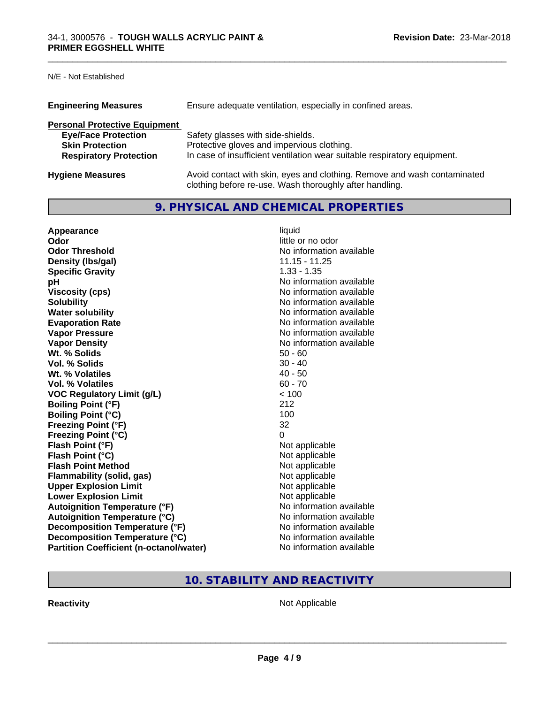# N/E - Not Established

| <b>Engineering Measures</b>          | Ensure adequate ventilation, especially in confined areas.                                                                          |
|--------------------------------------|-------------------------------------------------------------------------------------------------------------------------------------|
| <b>Personal Protective Equipment</b> |                                                                                                                                     |
| <b>Eye/Face Protection</b>           | Safety glasses with side-shields.                                                                                                   |
| <b>Skin Protection</b>               | Protective gloves and impervious clothing.                                                                                          |
| <b>Respiratory Protection</b>        | In case of insufficient ventilation wear suitable respiratory equipment.                                                            |
| <b>Hygiene Measures</b>              | Avoid contact with skin, eyes and clothing. Remove and wash contaminated<br>clothing before re-use. Wash thoroughly after handling. |

# **9. PHYSICAL AND CHEMICAL PROPERTIES**

\_\_\_\_\_\_\_\_\_\_\_\_\_\_\_\_\_\_\_\_\_\_\_\_\_\_\_\_\_\_\_\_\_\_\_\_\_\_\_\_\_\_\_\_\_\_\_\_\_\_\_\_\_\_\_\_\_\_\_\_\_\_\_\_\_\_\_\_\_\_\_\_\_\_\_\_\_\_\_\_\_\_\_\_\_\_\_\_\_\_\_\_\_

| Appearance                                     | liquid                   |
|------------------------------------------------|--------------------------|
| Odor                                           | little or no odor        |
| <b>Odor Threshold</b>                          | No information available |
| Density (Ibs/gal)                              | $11.15 - 11.25$          |
| <b>Specific Gravity</b>                        | $1.33 - 1.35$            |
| рH                                             | No information available |
| <b>Viscosity (cps)</b>                         | No information available |
| <b>Solubility</b>                              | No information available |
| <b>Water solubility</b>                        | No information available |
| <b>Evaporation Rate</b>                        | No information available |
| <b>Vapor Pressure</b>                          | No information available |
| <b>Vapor Density</b>                           | No information available |
| Wt. % Solids                                   | $50 - 60$                |
| Vol. % Solids                                  | $30 - 40$                |
| Wt. % Volatiles                                | $40 - 50$                |
| <b>Vol. % Volatiles</b>                        | $60 - 70$                |
| <b>VOC Regulatory Limit (g/L)</b>              | < 100                    |
| <b>Boiling Point (°F)</b>                      | 212                      |
| <b>Boiling Point (°C)</b>                      | 100                      |
| <b>Freezing Point (°F)</b>                     | 32                       |
| <b>Freezing Point (°C)</b>                     | 0                        |
| Flash Point (°F)                               | Not applicable           |
| Flash Point (°C)                               | Not applicable           |
| <b>Flash Point Method</b>                      | Not applicable           |
| Flammability (solid, gas)                      | Not applicable           |
| <b>Upper Explosion Limit</b>                   | Not applicable           |
| <b>Lower Explosion Limit</b>                   | Not applicable           |
| <b>Autoignition Temperature (°F)</b>           | No information available |
| <b>Autoignition Temperature (°C)</b>           | No information available |
| Decomposition Temperature (°F)                 | No information available |
| Decomposition Temperature (°C)                 | No information available |
| <b>Partition Coefficient (n-octanol/water)</b> | No information available |

# **10. STABILITY AND REACTIVITY**

**Reactivity Not Applicable** Not Applicable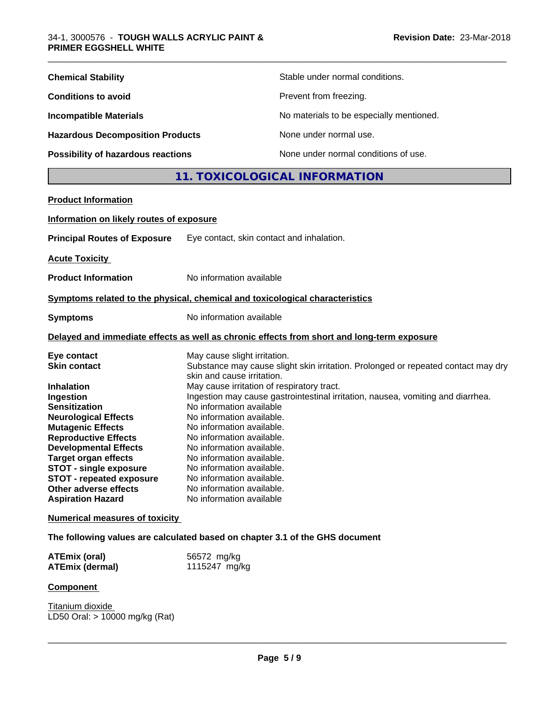| <b>Chemical Stability</b>               | Stable under normal conditions.          |
|-----------------------------------------|------------------------------------------|
| <b>Conditions to avoid</b>              | Prevent from freezing.                   |
| <b>Incompatible Materials</b>           | No materials to be especially mentioned. |
| <b>Hazardous Decomposition Products</b> | None under normal use.                   |
| Possibility of hazardous reactions      | None under normal conditions of use.     |

# **11. TOXICOLOGICAL INFORMATION**

| <b>Product Information</b>                                                                                                                                                                                                                                                                                         |                                                                                                                                                                                                                                                                                                                                                                                                                                                                                                                         |
|--------------------------------------------------------------------------------------------------------------------------------------------------------------------------------------------------------------------------------------------------------------------------------------------------------------------|-------------------------------------------------------------------------------------------------------------------------------------------------------------------------------------------------------------------------------------------------------------------------------------------------------------------------------------------------------------------------------------------------------------------------------------------------------------------------------------------------------------------------|
| Information on likely routes of exposure                                                                                                                                                                                                                                                                           |                                                                                                                                                                                                                                                                                                                                                                                                                                                                                                                         |
| <b>Principal Routes of Exposure</b>                                                                                                                                                                                                                                                                                | Eye contact, skin contact and inhalation.                                                                                                                                                                                                                                                                                                                                                                                                                                                                               |
| <b>Acute Toxicity</b>                                                                                                                                                                                                                                                                                              |                                                                                                                                                                                                                                                                                                                                                                                                                                                                                                                         |
| <b>Product Information</b>                                                                                                                                                                                                                                                                                         | No information available                                                                                                                                                                                                                                                                                                                                                                                                                                                                                                |
|                                                                                                                                                                                                                                                                                                                    | Symptoms related to the physical, chemical and toxicological characteristics                                                                                                                                                                                                                                                                                                                                                                                                                                            |
| <b>Symptoms</b>                                                                                                                                                                                                                                                                                                    | No information available                                                                                                                                                                                                                                                                                                                                                                                                                                                                                                |
|                                                                                                                                                                                                                                                                                                                    | Delayed and immediate effects as well as chronic effects from short and long-term exposure                                                                                                                                                                                                                                                                                                                                                                                                                              |
| Eye contact<br><b>Skin contact</b><br><b>Inhalation</b><br>Ingestion<br><b>Sensitization</b><br><b>Neurological Effects</b><br><b>Mutagenic Effects</b><br><b>Reproductive Effects</b><br><b>Developmental Effects</b><br><b>Target organ effects</b><br>STOT - single exposure<br><b>STOT - repeated exposure</b> | May cause slight irritation.<br>Substance may cause slight skin irritation. Prolonged or repeated contact may dry<br>skin and cause irritation.<br>May cause irritation of respiratory tract.<br>Ingestion may cause gastrointestinal irritation, nausea, vomiting and diarrhea.<br>No information available<br>No information available.<br>No information available.<br>No information available.<br>No information available.<br>No information available.<br>No information available.<br>No information available. |
| Other adverse effects<br><b>Aspiration Hazard</b>                                                                                                                                                                                                                                                                  | No information available.<br>No information available                                                                                                                                                                                                                                                                                                                                                                                                                                                                   |
| <b>Numerical measures of toxicity</b>                                                                                                                                                                                                                                                                              |                                                                                                                                                                                                                                                                                                                                                                                                                                                                                                                         |

**The following values are calculated based on chapter 3.1 of the GHS document**

| <b>ATEmix (oral)</b>   | 56572 mg/kg   |
|------------------------|---------------|
| <b>ATEmix (dermal)</b> | 1115247 mg/kg |

# **Component**

Titanium dioxide LD50 Oral: > 10000 mg/kg (Rat)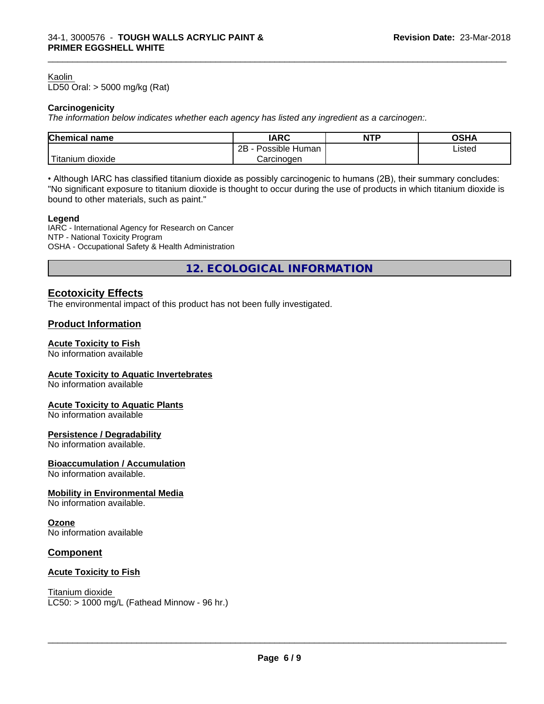#### Kaolin

LD50 Oral: > 5000 mg/kg (Rat)

## **Carcinogenicity**

*The information below indicateswhether each agency has listed any ingredient as a carcinogen:.*

| <b>Chemical</b><br>name                      | <b>IARC</b>                         | <b>NTP</b> | ດເ⊔∧<br>JJNP |
|----------------------------------------------|-------------------------------------|------------|--------------|
|                                              | .<br>クロ<br>Human<br>Possible⊦<br>∠⊔ |            | ∟isted<br>.  |
| . . <del>. .</del><br>. dioxide<br>' itanium | Carcinoɑen                          |            |              |

\_\_\_\_\_\_\_\_\_\_\_\_\_\_\_\_\_\_\_\_\_\_\_\_\_\_\_\_\_\_\_\_\_\_\_\_\_\_\_\_\_\_\_\_\_\_\_\_\_\_\_\_\_\_\_\_\_\_\_\_\_\_\_\_\_\_\_\_\_\_\_\_\_\_\_\_\_\_\_\_\_\_\_\_\_\_\_\_\_\_\_\_\_

• Although IARC has classified titanium dioxide as possibly carcinogenic to humans (2B), their summary concludes: "No significant exposure to titanium dioxide is thought to occur during the use of products in which titanium dioxide is bound to other materials, such as paint."

#### **Legend**

IARC - International Agency for Research on Cancer NTP - National Toxicity Program OSHA - Occupational Safety & Health Administration

**12. ECOLOGICAL INFORMATION**

# **Ecotoxicity Effects**

The environmental impact of this product has not been fully investigated.

## **Product Information**

## **Acute Toxicity to Fish**

No information available

# **Acute Toxicity to Aquatic Invertebrates**

No information available

# **Acute Toxicity to Aquatic Plants**

No information available

#### **Persistence / Degradability**

No information available.

**Bioaccumulation / Accumulation** No information available.

## **Mobility in Environmental Media**

No information available.

#### **Ozone**

No information available

# **Component**

## **Acute Toxicity to Fish**

# Titanium dioxide

 $LC50:$  > 1000 mg/L (Fathead Minnow - 96 hr.)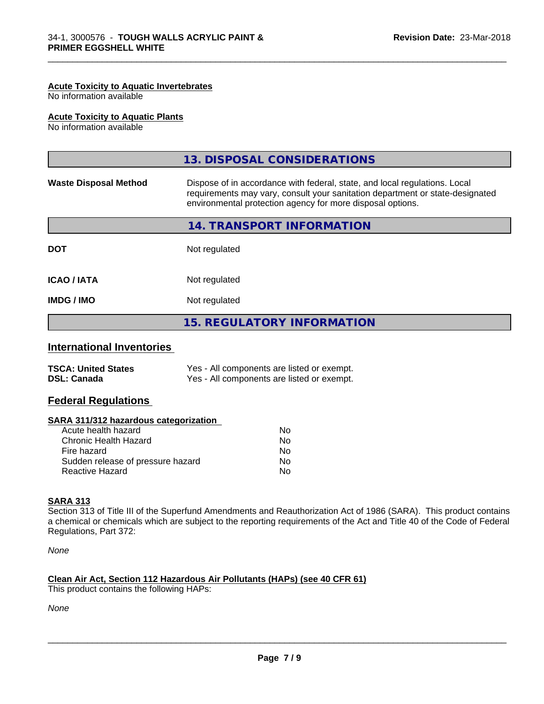#### **Acute Toxicity to Aquatic Invertebrates**

No information available

# **Acute Toxicity to Aquatic Plants**

No information available

|                              | 13. DISPOSAL CONSIDERATIONS                                                                                                                                                                                               |
|------------------------------|---------------------------------------------------------------------------------------------------------------------------------------------------------------------------------------------------------------------------|
| <b>Waste Disposal Method</b> | Dispose of in accordance with federal, state, and local regulations. Local<br>requirements may vary, consult your sanitation department or state-designated<br>environmental protection agency for more disposal options. |
|                              | 14. TRANSPORT INFORMATION                                                                                                                                                                                                 |
| <b>DOT</b>                   | Not regulated                                                                                                                                                                                                             |
| <b>ICAO / IATA</b>           | Not regulated                                                                                                                                                                                                             |
| <b>IMDG/IMO</b>              | Not regulated                                                                                                                                                                                                             |
|                              | <b>15. REGULATORY INFORMATION</b>                                                                                                                                                                                         |
|                              |                                                                                                                                                                                                                           |

\_\_\_\_\_\_\_\_\_\_\_\_\_\_\_\_\_\_\_\_\_\_\_\_\_\_\_\_\_\_\_\_\_\_\_\_\_\_\_\_\_\_\_\_\_\_\_\_\_\_\_\_\_\_\_\_\_\_\_\_\_\_\_\_\_\_\_\_\_\_\_\_\_\_\_\_\_\_\_\_\_\_\_\_\_\_\_\_\_\_\_\_\_

# **International Inventories**

| <b>TSCA: United States</b> | Yes - All components are listed or exempt. |
|----------------------------|--------------------------------------------|
| <b>DSL: Canada</b>         | Yes - All components are listed or exempt. |

# **Federal Regulations**

| SARA 311/312 hazardous categorization |  |
|---------------------------------------|--|
|---------------------------------------|--|

| Acute health hazard               | No. |
|-----------------------------------|-----|
| Chronic Health Hazard             | Nο  |
| Fire hazard                       | N٥  |
| Sudden release of pressure hazard | Nο  |
| Reactive Hazard                   | N٥  |

## **SARA 313**

Section 313 of Title III of the Superfund Amendments and Reauthorization Act of 1986 (SARA). This product contains a chemical or chemicals which are subject to the reporting requirements of the Act and Title 40 of the Code of Federal Regulations, Part 372:

*None*

# **Clean Air Act,Section 112 Hazardous Air Pollutants (HAPs) (see 40 CFR 61)**

This product contains the following HAPs:

*None*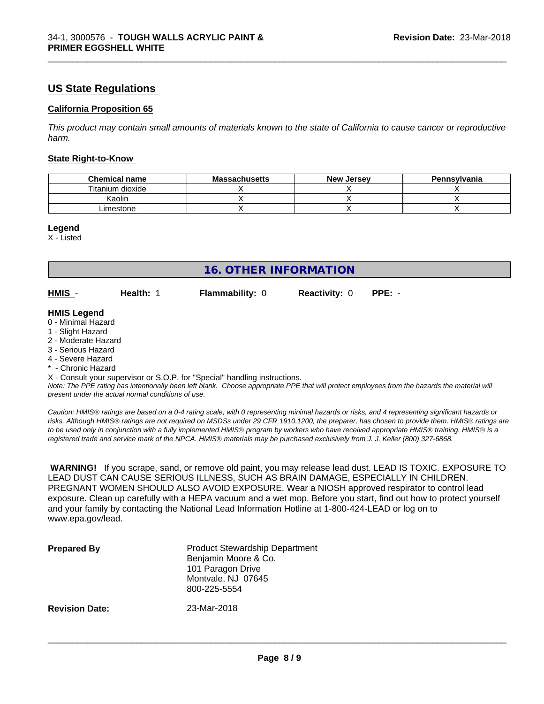# **US State Regulations**

# **California Proposition 65**

This product may contain small amounts of materials known to the state of California to cause cancer or reproductive *harm.*

\_\_\_\_\_\_\_\_\_\_\_\_\_\_\_\_\_\_\_\_\_\_\_\_\_\_\_\_\_\_\_\_\_\_\_\_\_\_\_\_\_\_\_\_\_\_\_\_\_\_\_\_\_\_\_\_\_\_\_\_\_\_\_\_\_\_\_\_\_\_\_\_\_\_\_\_\_\_\_\_\_\_\_\_\_\_\_\_\_\_\_\_\_

#### **State Right-to-Know**

| <b>Chemical name</b> | <b>Massachusetts</b> | . Jersev<br>New | Pennsvlvania |
|----------------------|----------------------|-----------------|--------------|
| Titanium dioxide     |                      |                 |              |
| Kaolin               |                      |                 |              |
| .imestone            |                      |                 |              |

#### **Legend**

X - Listed

| <b>16. OTHER INFORMATION</b>                                                                                                                                                                                |           |                                                                            |                      |                                                                                                                                               |
|-------------------------------------------------------------------------------------------------------------------------------------------------------------------------------------------------------------|-----------|----------------------------------------------------------------------------|----------------------|-----------------------------------------------------------------------------------------------------------------------------------------------|
| HMIS -                                                                                                                                                                                                      | Health: 1 | <b>Flammability: 0</b>                                                     | <b>Reactivity: 0</b> | $PPE: -$                                                                                                                                      |
| <b>HMIS Legend</b><br>0 - Minimal Hazard<br>1 - Slight Hazard<br>2 - Moderate Hazard<br>3 - Serious Hazard<br>4 - Severe Hazard<br>* - Chronic Hazard<br>present under the actual normal conditions of use. |           | X - Consult your supervisor or S.O.P. for "Special" handling instructions. |                      | Note: The PPE rating has intentionally been left blank. Choose appropriate PPE that will protect employees from the hazards the material will |

*Caution: HMISÒ ratings are based on a 0-4 rating scale, with 0 representing minimal hazards or risks, and 4 representing significant hazards or risks. Although HMISÒ ratings are not required on MSDSs under 29 CFR 1910.1200, the preparer, has chosen to provide them. HMISÒ ratings are to be used only in conjunction with a fully implemented HMISÒ program by workers who have received appropriate HMISÒ training. HMISÒ is a registered trade and service mark of the NPCA. HMISÒ materials may be purchased exclusively from J. J. Keller (800) 327-6868.*

 **WARNING!** If you scrape, sand, or remove old paint, you may release lead dust. LEAD IS TOXIC. EXPOSURE TO LEAD DUST CAN CAUSE SERIOUS ILLNESS, SUCH AS BRAIN DAMAGE, ESPECIALLY IN CHILDREN. PREGNANT WOMEN SHOULD ALSO AVOID EXPOSURE.Wear a NIOSH approved respirator to control lead exposure. Clean up carefully with a HEPA vacuum and a wet mop. Before you start, find out how to protect yourself and your family by contacting the National Lead Information Hotline at 1-800-424-LEAD or log on to www.epa.gov/lead.

| <b>Prepared By</b>    | <b>Product Stewardship Department</b><br>Benjamin Moore & Co.<br>101 Paragon Drive<br>Montvale, NJ 07645<br>800-225-5554 |
|-----------------------|--------------------------------------------------------------------------------------------------------------------------|
| <b>Revision Date:</b> | 23-Mar-2018                                                                                                              |